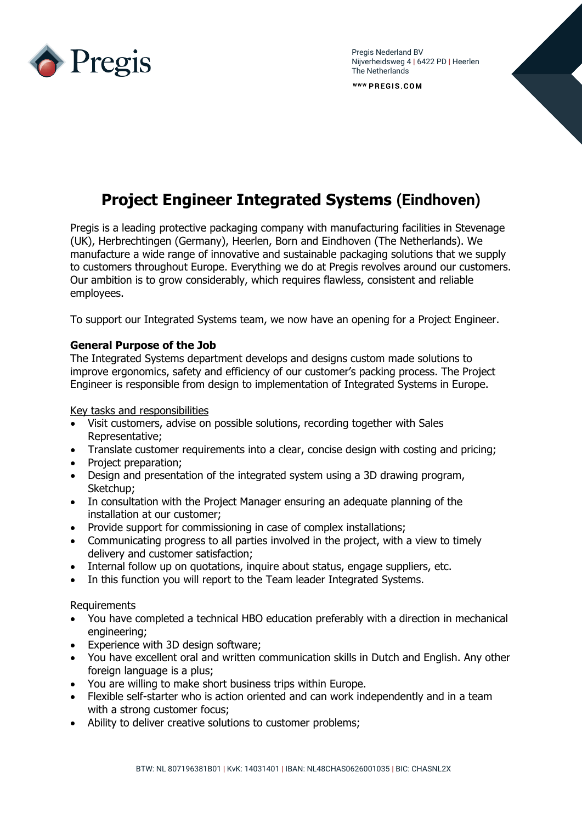

Pregis Nederland BV Nijverheidsweg 4 **|** 6422 PD **|** Heerlen The Netherlands

WWW PREGIS.COM

## **Project Engineer Integrated Systems (Eindhoven)**

Pregis is a leading protective packaging company with manufacturing facilities in Stevenage (UK), Herbrechtingen (Germany), Heerlen, Born and Eindhoven (The Netherlands). We manufacture a wide range of innovative and sustainable packaging solutions that we supply to customers throughout Europe. Everything we do at Pregis revolves around our customers. Our ambition is to grow considerably, which requires flawless, consistent and reliable employees.

To support our Integrated Systems team, we now have an opening for a Project Engineer.

## **General Purpose of the Job**

The Integrated Systems department develops and designs custom made solutions to improve ergonomics, safety and efficiency of our customer's packing process. The Project Engineer is responsible from design to implementation of Integrated Systems in Europe.

Key tasks and responsibilities

- Visit customers, advise on possible solutions, recording together with Sales Representative;
- Translate customer requirements into a clear, concise design with costing and pricing;
- Project preparation;
- Design and presentation of the integrated system using a 3D drawing program, Sketchup;
- In consultation with the Project Manager ensuring an adequate planning of the installation at our customer;
- Provide support for commissioning in case of complex installations;
- Communicating progress to all parties involved in the project, with a view to timely delivery and customer satisfaction;
- Internal follow up on quotations, inquire about status, engage suppliers, etc.
- In this function you will report to the Team leader Integrated Systems.

**Requirements** 

- You have completed a technical HBO education preferably with a direction in mechanical engineering;
- Experience with 3D design software;
- You have excellent oral and written communication skills in Dutch and English. Any other foreign language is a plus;
- You are willing to make short business trips within Europe.
- Flexible self-starter who is action oriented and can work independently and in a team with a strong customer focus;
- Ability to deliver creative solutions to customer problems;